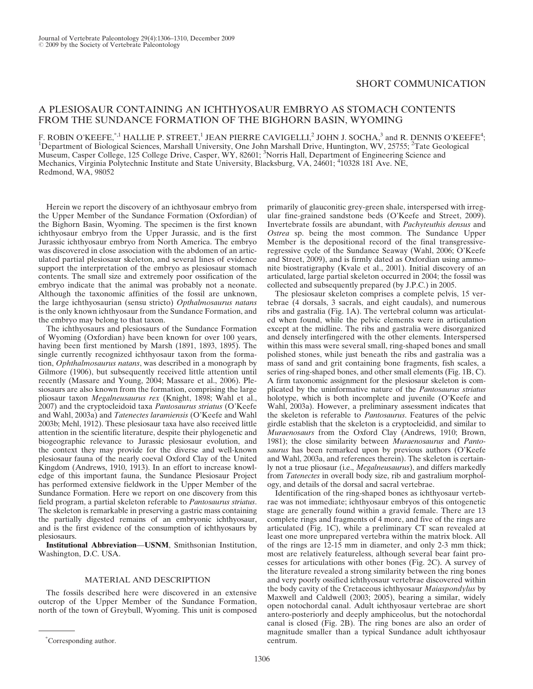# SHORT COMMUNICATION

# A PLESIOSAUR CONTAINING AN ICHTHYOSAUR EMBRYO AS STOMACH CONTENTS FROM THE SUNDANCE FORMATION OF THE BIGHORN BASIN, WYOMING

F. ROBIN O'KEEFE,<sup>\*,1</sup> HALLIE P. STREET,<sup>1</sup> JEAN PIERRE CAVIGELLI,<sup>2</sup> JOHN J. SOCHA,<sup>3</sup> and R. DENNIS O'KEEFE<sup>4</sup>;<br><sup>1</sup>Department of Biological Sciences, Marshall University, One John Marshall Drive, Huntington, WV, 25755; <sup></sup> Museum, Casper College, 125 College Drive, Casper, WY, 82601; <sup>3</sup>Norris Hall, Department of Engineering Science and Mechanics, Virginia Polytechnic Institute and State University, Blacksburg, VA, 24601; <sup>4</sup>10328 181 Ave. NE, Redmond, WA, 98052

Herein we report the discovery of an ichthyosaur embryo from the Upper Member of the Sundance Formation (Oxfordian) of the Bighorn Basin, Wyoming. The specimen is the first known ichthyosaur embryo from the Upper Jurassic, and is the first Jurassic ichthyosaur embryo from North America. The embryo was discovered in close association with the abdomen of an articulated partial plesiosaur skeleton, and several lines of evidence support the interpretation of the embryo as plesiosaur stomach contents. The small size and extremely poor ossification of the embryo indicate that the animal was probably not a neonate. Although the taxonomic affinities of the fossil are unknown, the large ichthyosaurian (sensu stricto) Opthalmosaurus natans is the only known ichthyosaur from the Sundance Formation, and the embryo may belong to that taxon.

The ichthyosaurs and plesiosaurs of the Sundance Formation of Wyoming (Oxfordian) have been known for over 100 years, having been first mentioned by Marsh (1891, 1893, 1895). The single currently recognized ichthyosaur taxon from the formation, Ophthalmosaurus natans, was described in a monograph by Gilmore (1906), but subsequently received little attention until recently (Massare and Young, 2004; Massare et al., 2006). Plesiosaurs are also known from the formation, comprising the large pliosaur taxon Megalneusaurus rex (Knight, 1898; Wahl et al., 2007) and the cryptocleidoid taxa Pantosaurus striatus (O'Keefe and Wahl, 2003a) and Tatenectes laramiensis (O'Keefe and Wahl 2003b; Mehl, 1912). These plesiosaur taxa have also received little attention in the scientific literature, despite their phylogenetic and biogeographic relevance to Jurassic plesiosaur evolution, and the context they may provide for the diverse and well-known plesiosaur fauna of the nearly coeval Oxford Clay of the United Kingdom (Andrews, 1910, 1913). In an effort to increase knowledge of this important fauna, the Sundance Plesiosaur Project has performed extensive fieldwork in the Upper Member of the Sundance Formation. Here we report on one discovery from this field program, a partial skeleton referable to Pantosaurus striatus. The skeleton is remarkable in preserving a gastric mass containing the partially digested remains of an embryonic ichthyosaur, and is the first evidence of the consumption of ichthyosaurs by plesiosaurs.

Institutional Abbreviation—USNM, Smithsonian Institution, Washington, D.C. USA.

### MATERIAL AND DESCRIPTION

The fossils described here were discovered in an extensive outcrop of the Upper Member of the Sundance Formation, north of the town of Greybull, Wyoming. This unit is composed primarily of glauconitic grey-green shale, interspersed with irregular fine-grained sandstone beds (O'Keefe and Street, 2009). Invertebrate fossils are abundant, with Pachyteuthis densus and Ostrea sp. being the most common. The Sundance Upper Member is the depositional record of the final transgressiveregressive cycle of the Sundance Seaway (Wahl, 2006; O'Keefe and Street, 2009), and is firmly dated as Oxfordian using ammonite biostratigraphy (Kvale et al., 2001). Initial discovery of an articulated, large partial skeleton occurred in 2004; the fossil was collected and subsequently prepared (by J.P.C.) in 2005.

The plesiosaur skeleton comprises a complete pelvis, 15 vertebrae (4 dorsals, 3 sacrals, and eight caudals), and numerous ribs and gastralia (Fig. 1A). The vertebral column was articulated when found, while the pelvic elements were in articulation except at the midline. The ribs and gastralia were disorganized and densely interfingered with the other elements. Interspersed within this mass were several small, ring-shaped bones and small polished stones, while just beneath the ribs and gastralia was a mass of sand and grit containing bone fragments, fish scales, a series of ring-shaped bones, and other small elements (Fig. 1B, C). A firm taxonomic assignment for the plesiosaur skeleton is complicated by the uninformative nature of the Pantosaurus striatus holotype, which is both incomplete and juvenile (O'Keefe and Wahl, 2003a). However, a preliminary assessment indicates that the skeleton is referable to Pantosaurus. Features of the pelvic girdle establish that the skeleton is a cryptocleidid, and similar to Muraenosaurs from the Oxford Clay (Andrews, 1910; Brown, 1981); the close similarity between Muraenosaurus and Pantosaurus has been remarked upon by previous authors (O'Keefe and Wahl, 2003a, and references therein). The skeleton is certainly not a true pliosaur (i.e., Megalneusaurus), and differs markedly from Tatenectes in overall body size, rib and gastralium morphology, and details of the dorsal and sacral vertebrae.

Identification of the ring-shaped bones as ichthyosaur vertebrae was not immediate; ichthyosaur embryos of this ontogenetic stage are generally found within a gravid female. There are 13 complete rings and fragments of 4 more, and five of the rings are articulated (Fig. 1C), while a preliminary CT scan revealed at least one more unprepared vertebra within the matrix block. All of the rings are 12-15 mm in diameter, and only 2-3 mm thick; most are relatively featureless, although several bear faint processes for articulations with other bones (Fig. 2C). A survey of the literature revealed a strong similarity between the ring bones and very poorly ossified ichthyosaur vertebrae discovered within the body cavity of the Cretaceous ichthyosaur Maiaspondylus by Maxwell and Caldwell (2003; 2005), bearing a similar, widely open notochordal canal. Adult ichthyosaur vertebrae are short antero-posteriorly and deeply amphiceolus, but the notochordal canal is closed (Fig. 2B). The ring bones are also an order of magnitude smaller than a typical Sundance adult ichthyosaur

centrum. \* Corresponding author.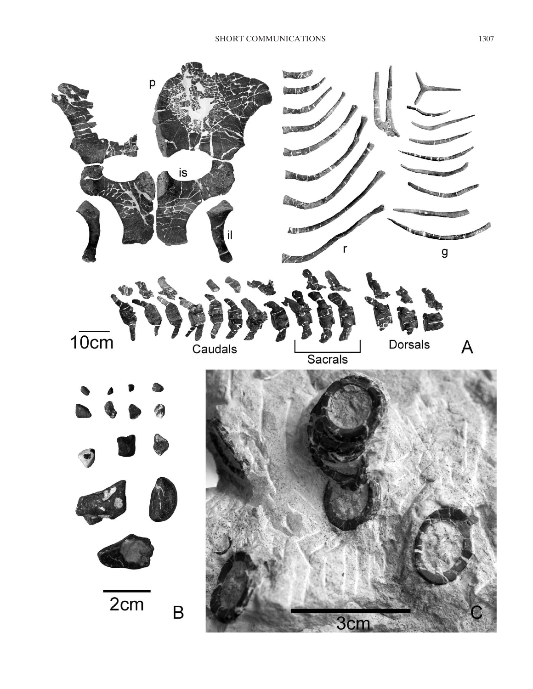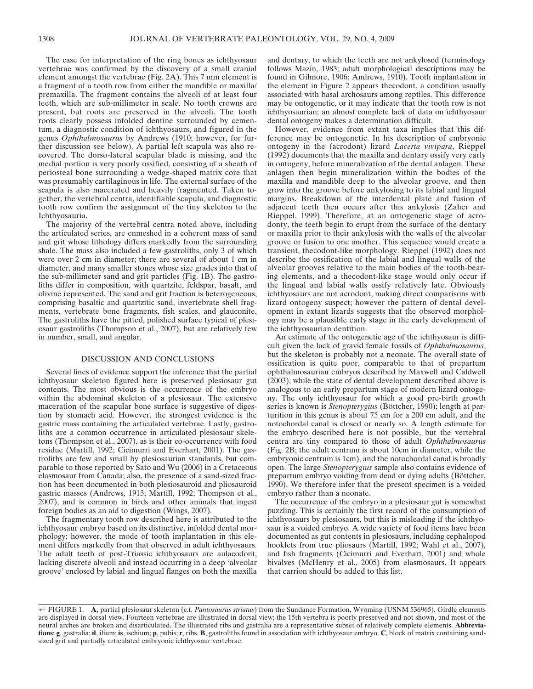The case for interpretation of the ring bones as ichthyosaur vertebrae was confirmed by the discovery of a small cranial element amongst the vertebrae (Fig. 2A). This 7 mm element is a fragment of a tooth row from either the mandible or maxilla/ premaxilla. The fragment contains the alveoli of at least four teeth, which are sub-millimeter in scale. No tooth crowns are present, but roots are preserved in the alveoli. The tooth roots clearly possess infolded dentine surrounded by cementum, a diagnostic condition of ichthyosaurs, and figured in the genus Ophthalmosaurus by Andrews (1910; however, for further discussion see below). A partial left scapula was also recovered. The dorso-lateral scapular blade is missing, and the medial portion is very poorly ossified, consisting of a sheath of periosteal bone surrounding a wedge-shaped matrix core that was presumably cartilaginous in life. The external surface of the scapula is also macerated and heavily fragmented. Taken together, the vertebral centra, identifiable scapula, and diagnostic tooth row confirm the assignment of the tiny skeleton to the Ichthyosauria.

The majority of the vertebral centra noted above, including the articulated series, are enmeshed in a coherent mass of sand and grit whose lithology differs markedly from the surrounding shale. The mass also included a few gastroliths, only 3 of which were over 2 cm in diameter; there are several of about 1 cm in diameter, and many smaller stones whose size grades into that of the sub-millimeter sand and grit particles (Fig. 1B). The gastroliths differ in composition, with quartzite, feldspar, basalt, and olivine represented. The sand and grit fraction is heterogeneous, comprising basaltic and quartzitic sand, invertebrate shell fragments, vertebrate bone fragments, fish scales, and glauconite. The gastroliths have the pitted, polished surface typical of plesiosaur gastroliths (Thompson et al., 2007), but are relatively few in number, small, and angular.

### DISCUSSION AND CONCLUSIONS

Several lines of evidence support the inference that the partial ichthyosaur skeleton figured here is preserved plesiosaur gut contents. The most obvious is the occurrence of the embryo within the abdominal skeleton of a plesiosaur. The extensive maceration of the scapular bone surface is suggestive of digestion by stomach acid. However, the strongest evidence is the gastric mass containing the articulated vertebrae. Lastly, gastroliths are a common occurrence in articulated plesiosaur skeletons (Thompson et al., 2007), as is their co-occurrence with food residue (Martill, 1992; Cicimurri and Everhart, 2001). The gastroliths are few and small by plesiosaurian standards, but comparable to those reported by Sato and Wu (2006) in a Cretaceous elasmosaur from Canada; also, the presence of a sand-sized fraction has been documented in both plesiosauroid and pliosauroid gastric masses (Andrews, 1913; Martill, 1992; Thompson et al., 2007), and is common in birds and other animals that ingest foreign bodies as an aid to digestion (Wings, 2007).

The fragmentary tooth row described here is attributed to the ichthyosaur embryo based on its distinctive, infolded dental morphology; however, the mode of tooth implantation in this element differs markedly from that observed in adult ichthyosaurs. The adult teeth of post-Triassic ichthyosaurs are aulacodont, lacking discrete alveoli and instead occurring in a deep 'alveolar groove' enclosed by labial and lingual flanges on both the maxilla

and dentary, to which the teeth are not ankylosed (terminology follows Mazin, 1983; adult morphological descriptions may be found in Gilmore, 1906; Andrews, 1910). Tooth implantation in the element in Figure 2 appears thecodont, a condition usually associated with basal archosaurs among reptiles. This difference may be ontogenetic, or it may indicate that the tooth row is not ichthyosaurian; an almost complete lack of data on ichthyosaur dental ontogeny makes a determination difficult.

However, evidence from extant taxa implies that this difference may be ontogenetic. In his description of embryonic ontogeny in the (acrodont) lizard Lacerta vivipara, Rieppel (1992) documents that the maxilla and dentary ossify very early in ontogeny, before mineralization of the dental anlagen. These anlagen then begin mineralization within the bodies of the maxilla and mandible deep to the alveolar groove, and then grow into the groove before ankylosing to its labial and lingual margins. Breakdown of the interdental plate and fusion of adjacent teeth then occurs after this ankylosis (Zaher and Rieppel, 1999). Therefore, at an ontogenetic stage of acrodonty, the teeth begin to erupt from the surface of the dentary or maxilla prior to their ankylosis with the walls of the alveolar groove or fusion to one another. This sequence would create a transient, thecodont-like morphology. Rieppel (1992) does not describe the ossification of the labial and lingual walls of the alveolar grooves relative to the main bodies of the tooth-bearing elements, and a thecodont-like stage would only occur if the lingual and labial walls ossify relatively late. Obviously ichthyosaurs are not acrodont, making direct comparisons with lizard ontogeny suspect; however the pattern of dental development in extant lizards suggests that the observed morphology may be a plausible early stage in the early development of the ichthyosaurian dentition.

An estimate of the ontogenetic age of the ichthyosaur is difficult given the lack of gravid female fossils of Ophthalmosaurus, but the skeleton is probably not a neonate. The overall state of ossification is quite poor, comparable to that of prepartum ophthalmosaurian embryos described by Maxwell and Caldwell (2003), while the state of dental development described above is analogous to an early prepartum stage of modern lizard ontogeny. The only ichthyosaur for which a good pre-birth growth series is known is Stenopterygius (Böttcher, 1990); length at parturition in this genus is about 75 cm for a 200 cm adult, and the notochordal canal is closed or nearly so. A length estimate for the embryo described here is not possible, but the vertebral centra are tiny compared to those of adult Ophthalmosaurus (Fig. 2B; the adult centrum is about 10cm in diameter, while the embryonic centrum is 1cm), and the notochordal canal is broadly open. The large Stenopterygius sample also contains evidence of prepartum embryo voiding from dead or dying adults (Böttcher, 1990). We therefore infer that the present specimen is a voided embryo rather than a neonate.

The occurrence of the embryo in a plesiosaur gut is somewhat puzzling. This is certainly the first record of the consumption of ichthyosaurs by plesiosaurs, but this is misleading if the ichthyosaur is a voided embryo. A wide variety of food items have been documented as gut contents in plesiosaurs, including cephalopod hooklets from true pliosaurs (Martill, 1992; Wahl et al., 2007), and fish fragments (Cicimurri and Everhart, 2001) and whole bivalves (McHenry et al., 2005) from elasmosaurs. It appears that carrion should be added to this list.

<sup>/</sup> FIGURE 1. A, partial plesiosaur skeleton (c.f. Pantosaurus striatus) from the Sundance Formation, Wyoming (USNM 536965). Girdle elements are displayed in dorsal view. Fourteen vertebrae are illustrated in dorsal view; the 15th vertebra is poorly preserved and not shown, and most of the neural arches are broken and disarticulated. The illustrated ribs and gastralia are a representative subset of relatively complete elements. Abbreviations: g, gastralia; il, ilium; is, ischium; p, pubis; r, ribs. B, gastroliths found in association with ichthyosaur embryo. C, block of matrix containing sandsized grit and partially articulated embryonic ichthyosaur vertebrae.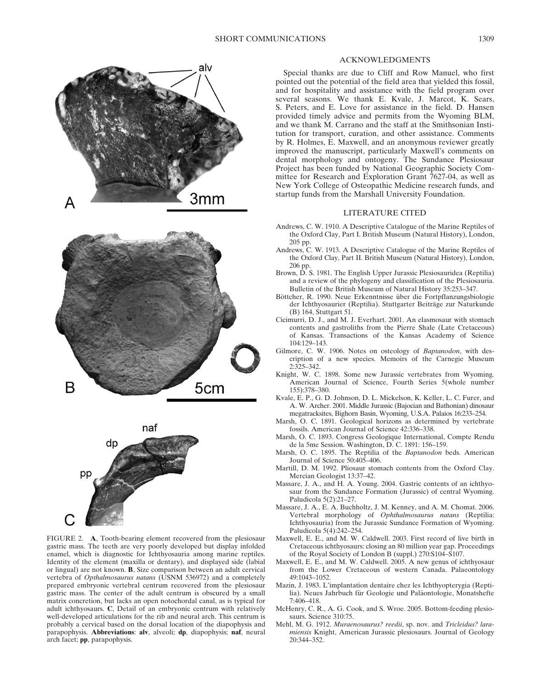





FIGURE 2. A, Tooth-bearing element recovered from the plesiosaur gastric mass. The teeth are very poorly developed but display infolded enamel, which is diagnostic for Ichthyosauria among marine reptiles. Identity of the element (maxilla or dentary), and displayed side (labial or lingual) are not known. B, Size comparison between an adult cervical vertebra of Opthalmosaurus natans (USNM 536972) and a completely prepared embryonic vertebral centrum recovered from the plesiosaur gastric mass. The center of the adult centrum is obscured by a small matrix concretion, but lacks an open notochordal canal, as is typical for adult ichthyosaurs. C, Detail of an embryonic centrum with relatively well-developed articulations for the rib and neural arch. This centrum is probably a cervical based on the dorsal location of the diapophysis and parapophysis. Abbreviations: alv, alveoli; dp, diapophysis; naf, neural arch facet; pp, parapophysis.

## ACKNOWLEDGMENTS

Special thanks are due to Cliff and Row Manuel, who first pointed out the potential of the field area that yielded this fossil, and for hospitality and assistance with the field program over several seasons. We thank E. Kvale, J. Marcot, K. Sears, S. Peters, and E. Love for assistance in the field. D. Hansen provided timely advice and permits from the Wyoming BLM, and we thank M. Carrano and the staff at the Smithsonian Institution for transport, curation, and other assistance. Comments by R. Holmes, E. Maxwell, and an anonymous reviewer greatly improved the manuscript, particularly Maxwell's comments on dental morphology and ontogeny. The Sundance Plesiosaur Project has been funded by National Geographic Society Committee for Research and Exploration Grant 7627-04, as well as New York College of Osteopathic Medicine research funds, and startup funds from the Marshall University Foundation.

### LITERATURE CITED

- Andrews, C. W. 1910. A Descriptive Catalogue of the Marine Reptiles of the Oxford Clay, Part I. British Museum (Natural History), London, 205 pp.
- Andrews, C. W. 1913. A Descriptive Catalogue of the Marine Reptiles of the Oxford Clay, Part II. British Museum (Natural History), London, 206 pp.
- Brown, D. S. 1981. The English Upper Jurassic Plesiosauridea (Reptilia) and a review of the phylogeny and classification of the Plesiosauria. Bulletin of the British Museum of Natural History 35:253–347.
- Böttcher, R. 1990. Neue Erkenntnisse über die Fortpflanzungsbiologie der Ichthyosaurier (Reptilia). Stuttgarter Beiträge zur Naturkunde (B) 164, Stuttgart 51.
- Cicimurri, D. J., and M. J. Everhart. 2001. An elasmosaur with stomach contents and gastroliths from the Pierre Shale (Late Cretaceous) of Kansas. Transactions of the Kansas Academy of Science 104:129–143.
- Gilmore, C. W. 1906. Notes on osteology of Baptanodon, with description of a new species. Memoirs of the Carnegie Museum 2:325–342.
- Knight, W. C. 1898. Some new Jurassic vertebrates from Wyoming. American Journal of Science, Fourth Series 5(whole number 155):378–380.
- Kvale, E. P., G. D. Johnson, D. L. Mickelson, K. Keller, L. C. Furer, and A. W. Archer. 2001. Middle Jurassic (Bajocian and Bathonian) dinosaur megatracksites, Bighorn Basin, Wyoming, U.S.A. Palaios 16:233–254.
- Marsh, O. C. 1891. Geological horizons as determined by vertebrate fossils. American Journal of Science 42:336–338.
- Marsh, O. C. 1893. Congress Geologique International, Compte Rendu de la 5me Session. Washington, D. C. 1891: 156–159.
- Marsh, O. C. 1895. The Reptilia of the Baptanodon beds. American Journal of Science 50:405–406.
- Martill, D. M. 1992. Pliosaur stomach contents from the Oxford Clay. Mercian Geologist 13:37–42.
- Massare, J. A., and H. A. Young. 2004. Gastric contents of an ichthyosaur from the Sundance Formation (Jurassic) of central Wyoming. Paludicola 5(2):21–27.
- Massare, J. A., E. A. Buchholtz, J. M. Kenney, and A. M. Chomat. 2006. Vertebral morphology of Ophthalmosaurus natans (Reptilia: Ichthyosauria) from the Jurassic Sundance Formation of Wyoming. Paludicola 5(4):242–254.
- Maxwell, E. E., and M. W. Caldwell. 2003. First record of live birth in Cretaceous ichthyosaurs: closing an 80 million year gap. Proceedings of the Royal Society of London B (suppl.) 270:S104–S107.
- Maxwell, E. E., and M. W. Caldwell. 2005. A new genus of ichthyosaur from the Lower Cretaceous of western Canada. Palaeontology 49:1043–1052.
- Mazin, J. 1983. L'implantation dentaire chez les Ichthyopterygia (Reptilia). Neues Jahrbuch für Geologie und Paläontologie, Monatshefte 7:406–418.
- McHenry, C. R., A. G. Cook, and S. Wroe. 2005. Bottom-feeding plesiosaurs. Science 310:75.
- Mehl, M. G. 1912. Muraenosaurus? reedii, sp. nov. and Tricleidus? laramiensis Knight, American Jurassic plesiosaurs. Journal of Geology 20:344–352.